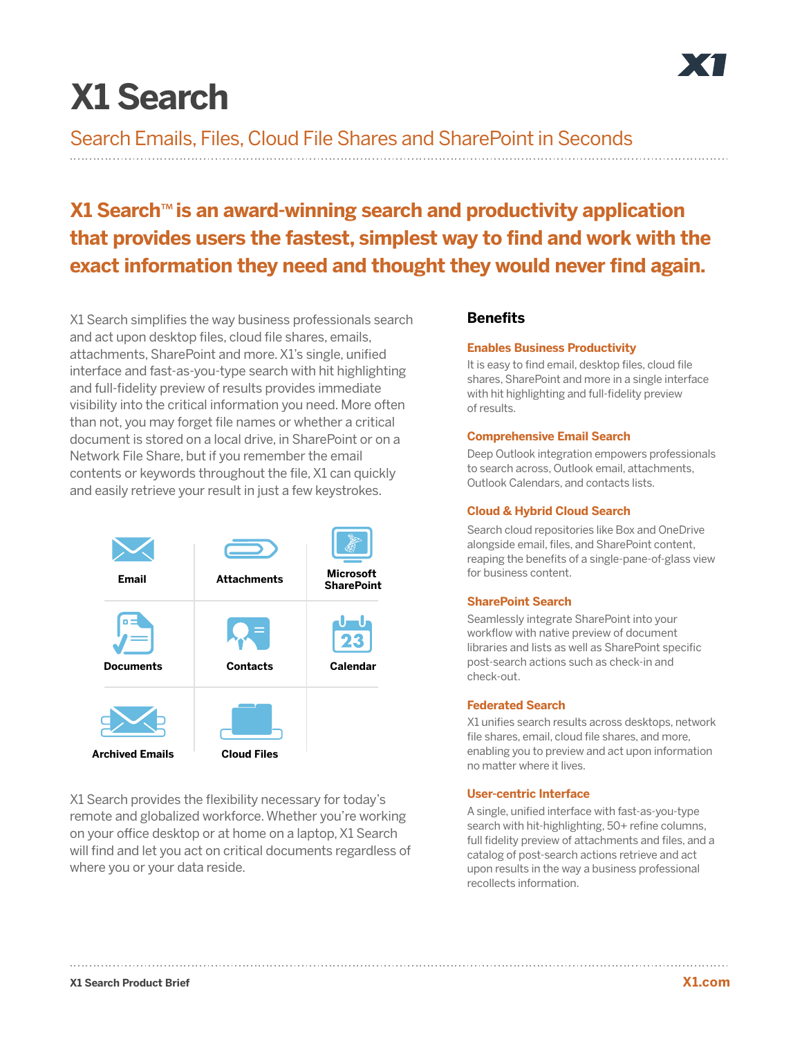# **X1 Search**

Search Emails, Files, Cloud File Shares and SharePoint in Seconds

# **X1 Search**™ **is an award-winning search and productivity application that provides users the fastest, simplest way to find and work with the exact information they need and thought they would never find again.**

X1 Search simplifies the way business professionals search and act upon desktop files, cloud file shares, emails, attachments, SharePoint and more. X1's single, unified interface and fast-as-you-type search with hit highlighting and full-fidelity preview of results provides immediate visibility into the critical information you need. More often than not, you may forget file names or whether a critical document is stored on a local drive, in SharePoint or on a Network File Share, but if you remember the email contents or keywords throughout the file, X1 can quickly and easily retrieve your result in just a few keystrokes.



X1 Search provides the flexibility necessary for today's remote and globalized workforce. Whether you're working on your office desktop or at home on a laptop, X1 Search will find and let you act on critical documents regardless of where you or your data reside.

# **Benefits**

#### **Enables Business Productivity**

It is easy to find email, desktop files, cloud file shares, SharePoint and more in a single interface with hit highlighting and full-fidelity preview of results.

# **Comprehensive Email Search**

Deep Outlook integration empowers professionals to search across, Outlook email, attachments, Outlook Calendars, and contacts lists.

### **Cloud & Hybrid Cloud Search**

Search cloud repositories like Box and OneDrive alongside email, files, and SharePoint content, reaping the benefits of a single-pane-of-glass view for business content.

# **SharePoint Search**

Seamlessly integrate SharePoint into your workflow with native preview of document libraries and lists as well as SharePoint specific post-search actions such as check-in and check-out.

#### **Federated Search**

X1 unifies search results across desktops, network file shares, email, cloud file shares, and more, enabling you to preview and act upon information no matter where it lives.

# **User-centric Interface**

A single, unified interface with fast-as-you-type search with hit-highlighting, 50+ refine columns, full fidelity preview of attachments and files, and a catalog of post-search actions retrieve and act upon results in the way a business professional recollects information.